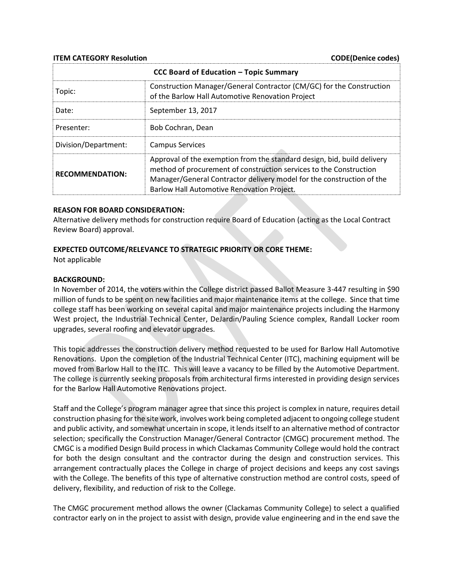**ITEM CATEGORY Resolution** CODE(Denice codes)

| <b>CCC Board of Education - Topic Summary</b> |                                                                                                                                                                                                                                                                      |
|-----------------------------------------------|----------------------------------------------------------------------------------------------------------------------------------------------------------------------------------------------------------------------------------------------------------------------|
| Topic:                                        | Construction Manager/General Contractor (CM/GC) for the Construction<br>of the Barlow Hall Automotive Renovation Project                                                                                                                                             |
| Date:                                         | September 13, 2017                                                                                                                                                                                                                                                   |
| Presenter:                                    | Bob Cochran, Dean                                                                                                                                                                                                                                                    |
| Division/Department:                          | <b>Campus Services</b>                                                                                                                                                                                                                                               |
| <b>RECOMMENDATION:</b>                        | Approval of the exemption from the standard design, bid, build delivery<br>method of procurement of construction services to the Construction<br>Manager/General Contractor delivery model for the construction of the<br>Barlow Hall Automotive Renovation Project. |

#### **REASON FOR BOARD CONSIDERATION:**

Alternative delivery methods for construction require Board of Education (acting as the Local Contract Review Board) approval.

#### **EXPECTED OUTCOME/RELEVANCE TO STRATEGIC PRIORITY OR CORE THEME:**

Not applicable

#### **BACKGROUND:**

In November of 2014, the voters within the College district passed Ballot Measure 3-447 resulting in \$90 million of funds to be spent on new facilities and major maintenance items at the college. Since that time college staff has been working on several capital and major maintenance projects including the Harmony West project, the Industrial Technical Center, DeJardin/Pauling Science complex, Randall Locker room upgrades, several roofing and elevator upgrades.

This topic addresses the construction delivery method requested to be used for Barlow Hall Automotive Renovations. Upon the completion of the Industrial Technical Center (ITC), machining equipment will be moved from Barlow Hall to the ITC. This will leave a vacancy to be filled by the Automotive Department. The college is currently seeking proposals from architectural firms interested in providing design services for the Barlow Hall Automotive Renovations project.

Staff and the College's program manager agree that since this project is complex in nature, requires detail construction phasing for the site work, involves work being completed adjacent to ongoing college student and public activity, and somewhat uncertain in scope, it lends itself to an alternative method of contractor selection; specifically the Construction Manager/General Contractor (CMGC) procurement method. The CMGC is a modified Design Build process in which Clackamas Community College would hold the contract for both the design consultant and the contractor during the design and construction services. This arrangement contractually places the College in charge of project decisions and keeps any cost savings with the College. The benefits of this type of alternative construction method are control costs, speed of delivery, flexibility, and reduction of risk to the College.

The CMGC procurement method allows the owner (Clackamas Community College) to select a qualified contractor early on in the project to assist with design, provide value engineering and in the end save the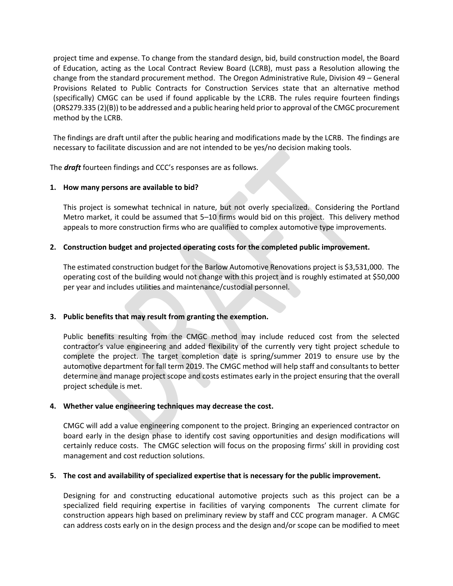project time and expense. To change from the standard design, bid, build construction model, the Board of Education, acting as the Local Contract Review Board (LCRB), must pass a Resolution allowing the change from the standard procurement method. The Oregon Administrative Rule, Division 49 – General Provisions Related to Public Contracts for Construction Services state that an alternative method (specifically) CMGC can be used if found applicable by the LCRB. The rules require fourteen findings (ORS279.335 (2)(B)) to be addressed and a public hearing held prior to approval of the CMGC procurement method by the LCRB.

The findings are draft until after the public hearing and modifications made by the LCRB. The findings are necessary to facilitate discussion and are not intended to be yes/no decision making tools.

The *draft* fourteen findings and CCC's responses are as follows.

# **1. How many persons are available to bid?**

This project is somewhat technical in nature, but not overly specialized. Considering the Portland Metro market, it could be assumed that 5–10 firms would bid on this project. This delivery method appeals to more construction firms who are qualified to complex automotive type improvements.

# **2. Construction budget and projected operating costs for the completed public improvement.**

The estimated construction budget for the Barlow Automotive Renovations project is \$3,531,000. The operating cost of the building would not change with this project and is roughly estimated at \$50,000 per year and includes utilities and maintenance/custodial personnel.

### **3. Public benefits that may result from granting the exemption.**

Public benefits resulting from the CMGC method may include reduced cost from the selected contractor's value engineering and added flexibility of the currently very tight project schedule to complete the project. The target completion date is spring/summer 2019 to ensure use by the automotive department for fall term 2019. The CMGC method will help staff and consultants to better determine and manage project scope and costs estimates early in the project ensuring that the overall project schedule is met.

### **4. Whether value engineering techniques may decrease the cost.**

CMGC will add a value engineering component to the project. Bringing an experienced contractor on board early in the design phase to identify cost saving opportunities and design modifications will certainly reduce costs. The CMGC selection will focus on the proposing firms' skill in providing cost management and cost reduction solutions.

# **5. The cost and availability of specialized expertise that is necessary for the public improvement.**

Designing for and constructing educational automotive projects such as this project can be a specialized field requiring expertise in facilities of varying components The current climate for construction appears high based on preliminary review by staff and CCC program manager. A CMGC can address costs early on in the design process and the design and/or scope can be modified to meet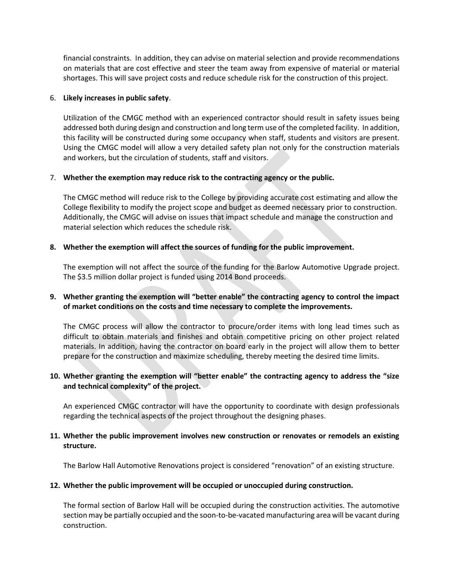financial constraints. In addition, they can advise on material selection and provide recommendations on materials that are cost effective and steer the team away from expensive of material or material shortages. This will save project costs and reduce schedule risk for the construction of this project.

### 6. **Likely increases in public safety**.

Utilization of the CMGC method with an experienced contractor should result in safety issues being addressed both during design and construction and long term use of the completed facility. In addition, this facility will be constructed during some occupancy when staff, students and visitors are present. Using the CMGC model will allow a very detailed safety plan not only for the construction materials and workers, but the circulation of students, staff and visitors.

### 7. **Whether the exemption may reduce risk to the contracting agency or the public.**

The CMGC method will reduce risk to the College by providing accurate cost estimating and allow the College flexibility to modify the project scope and budget as deemed necessary prior to construction. Additionally, the CMGC will advise on issues that impact schedule and manage the construction and material selection which reduces the schedule risk.

### **8. Whether the exemption will affect the sources of funding for the public improvement.**

The exemption will not affect the source of the funding for the Barlow Automotive Upgrade project. The \$3.5 million dollar project is funded using 2014 Bond proceeds.

# **9. Whether granting the exemption will "better enable" the contracting agency to control the impact of market conditions on the costs and time necessary to complete the improvements.**

The CMGC process will allow the contractor to procure/order items with long lead times such as difficult to obtain materials and finishes and obtain competitive pricing on other project related materials. In addition, having the contractor on board early in the project will allow them to better prepare for the construction and maximize scheduling, thereby meeting the desired time limits.

# **10. Whether granting the exemption will "better enable" the contracting agency to address the "size and technical complexity" of the project.**

An experienced CMGC contractor will have the opportunity to coordinate with design professionals regarding the technical aspects of the project throughout the designing phases.

# **11. Whether the public improvement involves new construction or renovates or remodels an existing structure.**

The Barlow Hall Automotive Renovations project is considered "renovation" of an existing structure.

### **12. Whether the public improvement will be occupied or unoccupied during construction.**

The formal section of Barlow Hall will be occupied during the construction activities. The automotive section may be partially occupied and the soon-to-be-vacated manufacturing area will be vacant during construction.